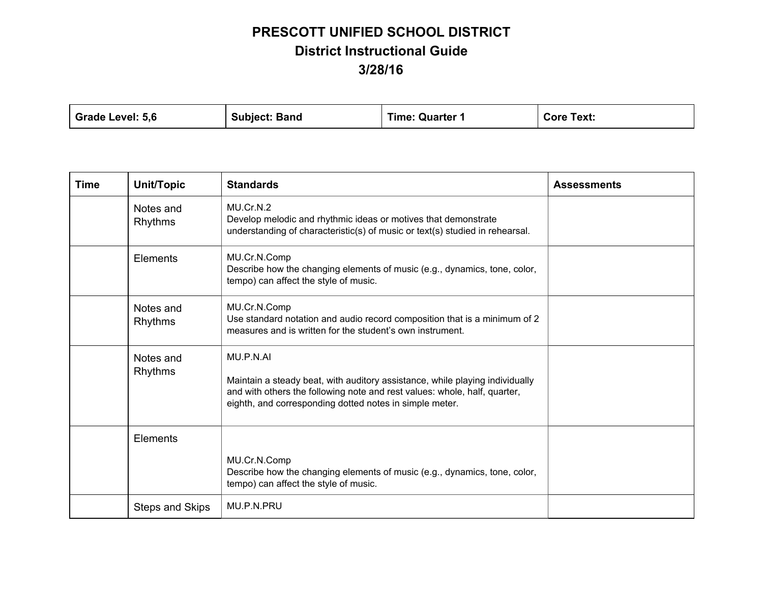| <b>Grade Level:</b><br>5.6<br><b>Subject: Band</b> | Time: Quarter 1 | Text:<br>Core |  |
|----------------------------------------------------|-----------------|---------------|--|
|----------------------------------------------------|-----------------|---------------|--|

| Time | Unit/Topic           | <b>Standards</b>                                                                                                                                                                                                                  | <b>Assessments</b> |
|------|----------------------|-----------------------------------------------------------------------------------------------------------------------------------------------------------------------------------------------------------------------------------|--------------------|
|      | Notes and<br>Rhythms | MU.Cr.N.2<br>Develop melodic and rhythmic ideas or motives that demonstrate<br>understanding of characteristic(s) of music or text(s) studied in rehearsal.                                                                       |                    |
|      | Elements             | MU.Cr.N.Comp<br>Describe how the changing elements of music (e.g., dynamics, tone, color,<br>tempo) can affect the style of music.                                                                                                |                    |
|      | Notes and<br>Rhythms | MU.Cr.N.Comp<br>Use standard notation and audio record composition that is a minimum of 2<br>measures and is written for the student's own instrument.                                                                            |                    |
|      | Notes and<br>Rhythms | MU.P.N.AI<br>Maintain a steady beat, with auditory assistance, while playing individually<br>and with others the following note and rest values: whole, half, quarter,<br>eighth, and corresponding dotted notes in simple meter. |                    |
|      | Elements             | MU.Cr.N.Comp<br>Describe how the changing elements of music (e.g., dynamics, tone, color,<br>tempo) can affect the style of music.                                                                                                |                    |
|      | Steps and Skips      | MU.P.N.PRU                                                                                                                                                                                                                        |                    |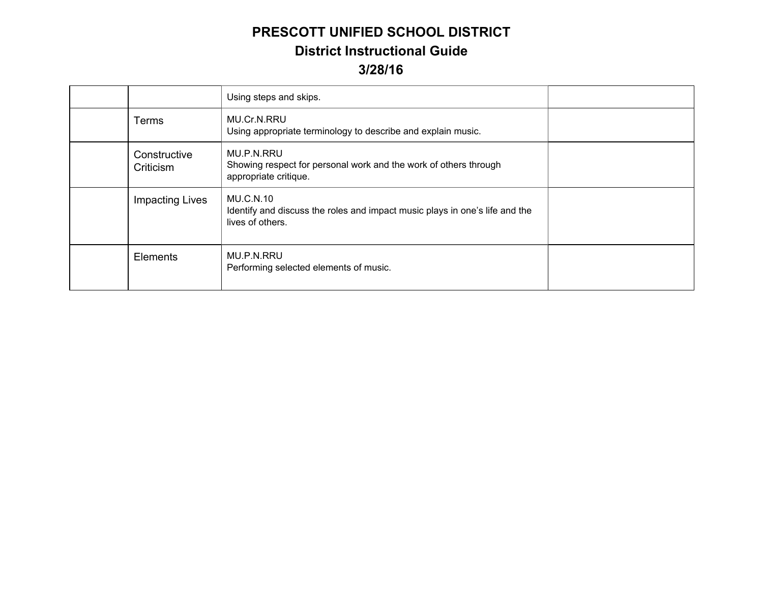|                           | Using steps and skips.                                                                                              |  |
|---------------------------|---------------------------------------------------------------------------------------------------------------------|--|
| <b>Terms</b>              | MU.Cr.N.RRU<br>Using appropriate terminology to describe and explain music.                                         |  |
| Constructive<br>Criticism | MU.P.N.RRU<br>Showing respect for personal work and the work of others through<br>appropriate critique.             |  |
| <b>Impacting Lives</b>    | <b>MU.C.N.10</b><br>Identify and discuss the roles and impact music plays in one's life and the<br>lives of others. |  |
| Elements                  | MU.P.N.RRU<br>Performing selected elements of music.                                                                |  |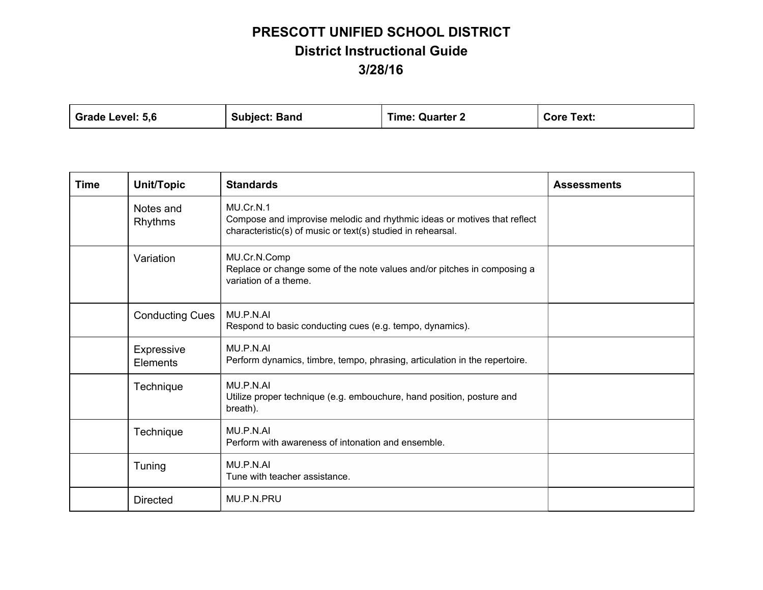| <b>Grade Level:</b><br>5.6<br><b>Subject: Band</b> | <b>Time: Quarter 2</b> | Text:<br>Core |  |
|----------------------------------------------------|------------------------|---------------|--|
|----------------------------------------------------|------------------------|---------------|--|

| <b>Time</b> | Unit/Topic             | <b>Standards</b>                                                                                                                                     | <b>Assessments</b> |
|-------------|------------------------|------------------------------------------------------------------------------------------------------------------------------------------------------|--------------------|
|             | Notes and<br>Rhythms   | MU.Cr.N.1<br>Compose and improvise melodic and rhythmic ideas or motives that reflect<br>characteristic(s) of music or text(s) studied in rehearsal. |                    |
|             | Variation              | MU.Cr.N.Comp<br>Replace or change some of the note values and/or pitches in composing a<br>variation of a theme.                                     |                    |
|             | <b>Conducting Cues</b> | MU.P.N.AI<br>Respond to basic conducting cues (e.g. tempo, dynamics).                                                                                |                    |
|             | Expressive<br>Elements | MU.P.N.AI<br>Perform dynamics, timbre, tempo, phrasing, articulation in the repertoire.                                                              |                    |
|             | Technique              | MU.P.N.AI<br>Utilize proper technique (e.g. embouchure, hand position, posture and<br>breath).                                                       |                    |
|             | Technique              | MU.P.N.AI<br>Perform with awareness of intonation and ensemble.                                                                                      |                    |
|             | Tuning                 | MU.P.N.AI<br>Tune with teacher assistance.                                                                                                           |                    |
|             | <b>Directed</b>        | MU.P.N.PRU                                                                                                                                           |                    |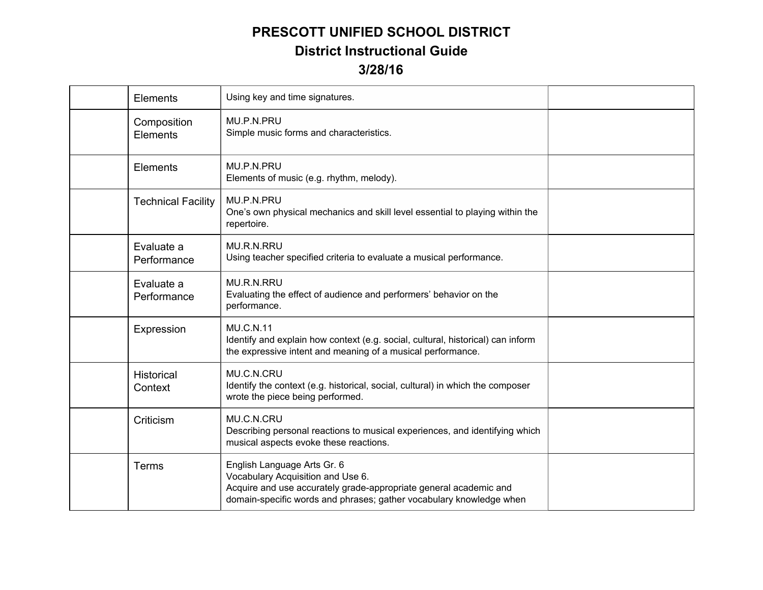| Elements                     | Using key and time signatures.                                                                                                                                                                               |  |
|------------------------------|--------------------------------------------------------------------------------------------------------------------------------------------------------------------------------------------------------------|--|
| Composition<br>Elements      | MU.P.N.PRU<br>Simple music forms and characteristics.                                                                                                                                                        |  |
| Elements                     | MU.P.N.PRU<br>Elements of music (e.g. rhythm, melody).                                                                                                                                                       |  |
| <b>Technical Facility</b>    | MU.P.N.PRU<br>One's own physical mechanics and skill level essential to playing within the<br>repertoire.                                                                                                    |  |
| Evaluate a<br>Performance    | MU.R.N.RRU<br>Using teacher specified criteria to evaluate a musical performance.                                                                                                                            |  |
| Evaluate a<br>Performance    | <b>MU.R.N.RRU</b><br>Evaluating the effect of audience and performers' behavior on the<br>performance.                                                                                                       |  |
| Expression                   | <b>MU.C.N.11</b><br>Identify and explain how context (e.g. social, cultural, historical) can inform<br>the expressive intent and meaning of a musical performance.                                           |  |
| <b>Historical</b><br>Context | MU.C.N.CRU<br>Identify the context (e.g. historical, social, cultural) in which the composer<br>wrote the piece being performed.                                                                             |  |
| Criticism                    | MU.C.N.CRU<br>Describing personal reactions to musical experiences, and identifying which<br>musical aspects evoke these reactions.                                                                          |  |
| Terms                        | English Language Arts Gr. 6<br>Vocabulary Acquisition and Use 6.<br>Acquire and use accurately grade-appropriate general academic and<br>domain-specific words and phrases; gather vocabulary knowledge when |  |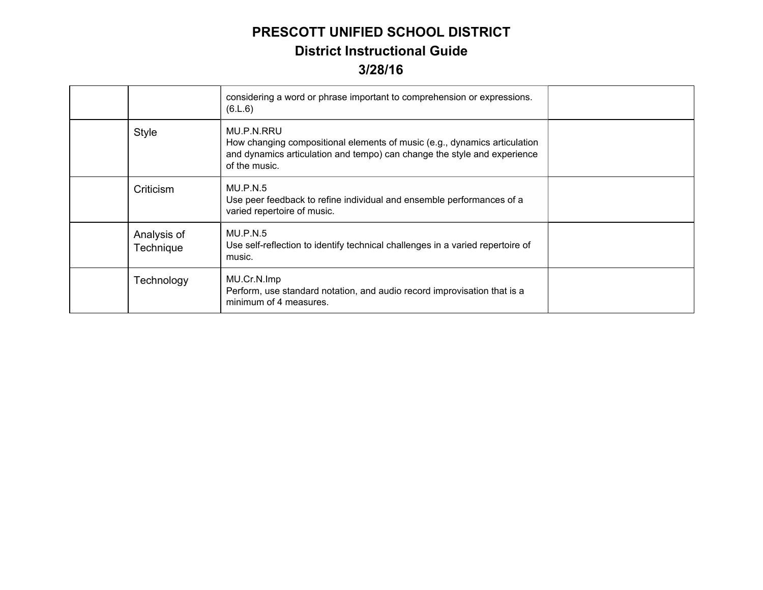|                          | considering a word or phrase important to comprehension or expressions.<br>(6.L.6)                                                                                                   |  |
|--------------------------|--------------------------------------------------------------------------------------------------------------------------------------------------------------------------------------|--|
| <b>Style</b>             | MU.P.N.RRU<br>How changing compositional elements of music (e.g., dynamics articulation<br>and dynamics articulation and tempo) can change the style and experience<br>of the music. |  |
| Criticism                | MU.P.N.5<br>Use peer feedback to refine individual and ensemble performances of a<br>varied repertoire of music.                                                                     |  |
| Analysis of<br>Technique | MU.P.N.5<br>Use self-reflection to identify technical challenges in a varied repertoire of<br>music.                                                                                 |  |
| Technology               | MU.Cr.N.Imp<br>Perform, use standard notation, and audio record improvisation that is a<br>minimum of 4 measures.                                                                    |  |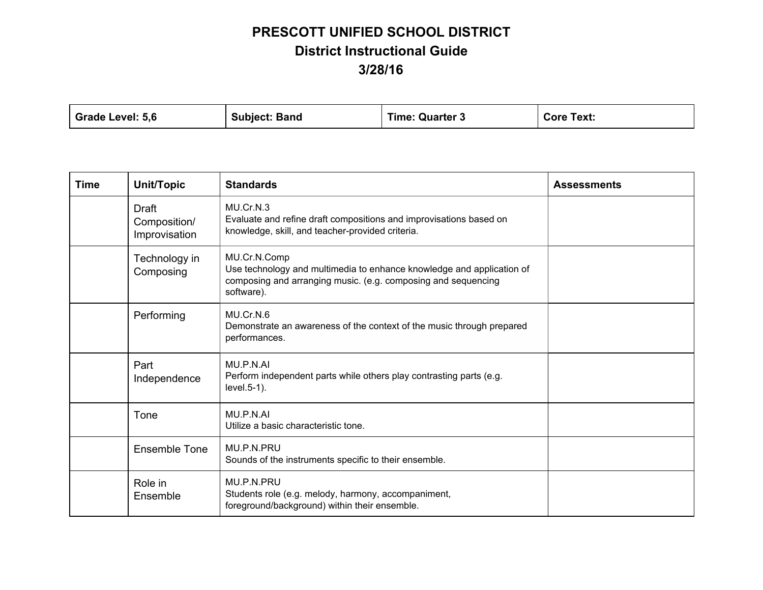| Grade Level: 5,6 | <b>Subject: Band</b> | <b>Time: Quarter 3</b> | <b>Core Text:</b> |
|------------------|----------------------|------------------------|-------------------|
|------------------|----------------------|------------------------|-------------------|

| <b>Time</b> | Unit/Topic                                    | <b>Standards</b>                                                                                                                                                     | <b>Assessments</b> |
|-------------|-----------------------------------------------|----------------------------------------------------------------------------------------------------------------------------------------------------------------------|--------------------|
|             | <b>Draft</b><br>Composition/<br>Improvisation | MU.Cr.N.3<br>Evaluate and refine draft compositions and improvisations based on<br>knowledge, skill, and teacher-provided criteria.                                  |                    |
|             | Technology in<br>Composing                    | MU.Cr.N.Comp<br>Use technology and multimedia to enhance knowledge and application of<br>composing and arranging music. (e.g. composing and sequencing<br>software). |                    |
|             | Performing                                    | MU.Cr.N.6<br>Demonstrate an awareness of the context of the music through prepared<br>performances.                                                                  |                    |
|             | Part<br>Independence                          | MU.P.N.AI<br>Perform independent parts while others play contrasting parts (e.g.<br>level.5-1).                                                                      |                    |
|             | Tone                                          | MU.P.N.AI<br>Utilize a basic characteristic tone.                                                                                                                    |                    |
|             | Ensemble Tone                                 | MU.P.N.PRU<br>Sounds of the instruments specific to their ensemble.                                                                                                  |                    |
|             | Role in<br>Ensemble                           | MU.P.N.PRU<br>Students role (e.g. melody, harmony, accompaniment,<br>foreground/background) within their ensemble.                                                   |                    |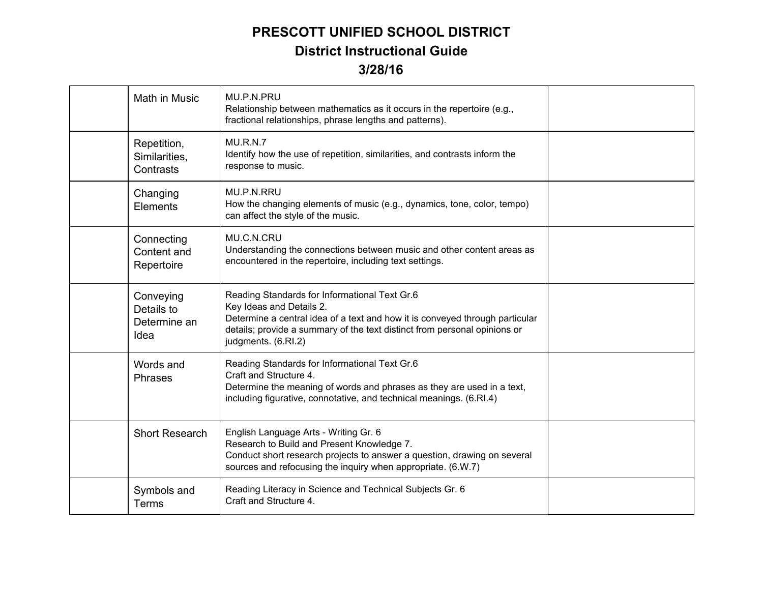| <b>Math in Music</b>                            | MU.P.N.PRU<br>Relationship between mathematics as it occurs in the repertoire (e.g.,<br>fractional relationships, phrase lengths and patterns).                                                                                                               |  |
|-------------------------------------------------|---------------------------------------------------------------------------------------------------------------------------------------------------------------------------------------------------------------------------------------------------------------|--|
| Repetition,<br>Similarities,<br>Contrasts       | <b>MU.R.N.7</b><br>Identify how the use of repetition, similarities, and contrasts inform the<br>response to music.                                                                                                                                           |  |
| Changing<br>Elements                            | MU.P.N.RRU<br>How the changing elements of music (e.g., dynamics, tone, color, tempo)<br>can affect the style of the music.                                                                                                                                   |  |
| Connecting<br>Content and<br>Repertoire         | MU.C.N.CRU<br>Understanding the connections between music and other content areas as<br>encountered in the repertoire, including text settings.                                                                                                               |  |
| Conveying<br>Details to<br>Determine an<br>Idea | Reading Standards for Informational Text Gr.6<br>Key Ideas and Details 2.<br>Determine a central idea of a text and how it is conveyed through particular<br>details; provide a summary of the text distinct from personal opinions or<br>judgments. (6.RI.2) |  |
| Words and<br>Phrases                            | Reading Standards for Informational Text Gr.6<br>Craft and Structure 4.<br>Determine the meaning of words and phrases as they are used in a text,<br>including figurative, connotative, and technical meanings. (6.RI.4)                                      |  |
| <b>Short Research</b>                           | English Language Arts - Writing Gr. 6<br>Research to Build and Present Knowledge 7.<br>Conduct short research projects to answer a question, drawing on several<br>sources and refocusing the inquiry when appropriate. (6.W.7)                               |  |
| Symbols and<br><b>Terms</b>                     | Reading Literacy in Science and Technical Subjects Gr. 6<br>Craft and Structure 4.                                                                                                                                                                            |  |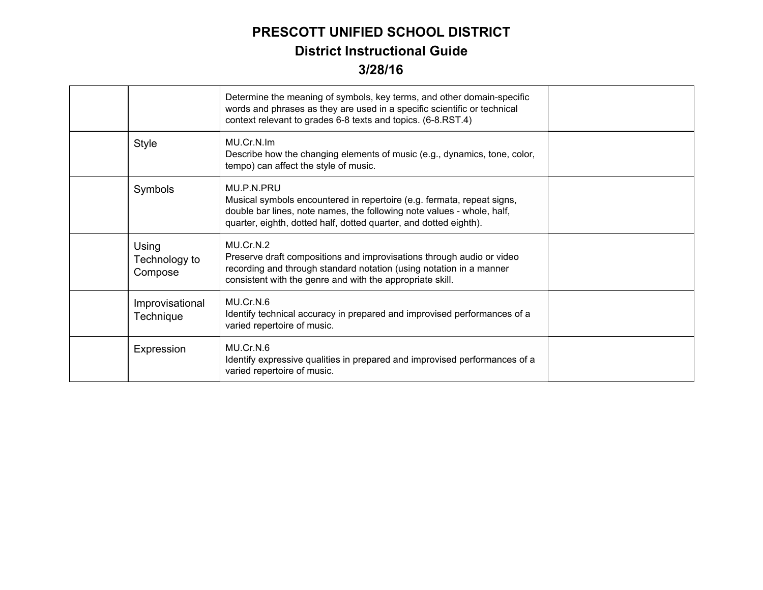|                                   | Determine the meaning of symbols, key terms, and other domain-specific<br>words and phrases as they are used in a specific scientific or technical<br>context relevant to grades 6-8 texts and topics. (6-8.RST.4)                  |  |
|-----------------------------------|-------------------------------------------------------------------------------------------------------------------------------------------------------------------------------------------------------------------------------------|--|
| <b>Style</b>                      | MU.Cr.N.Im<br>Describe how the changing elements of music (e.g., dynamics, tone, color,<br>tempo) can affect the style of music.                                                                                                    |  |
| Symbols                           | MU.P.N.PRU<br>Musical symbols encountered in repertoire (e.g. fermata, repeat signs,<br>double bar lines, note names, the following note values - whole, half,<br>quarter, eighth, dotted half, dotted quarter, and dotted eighth). |  |
| Using<br>Technology to<br>Compose | MU.Cr.N.2<br>Preserve draft compositions and improvisations through audio or video<br>recording and through standard notation (using notation in a manner<br>consistent with the genre and with the appropriate skill.              |  |
| Improvisational<br>Technique      | MU.Cr.N.6<br>Identify technical accuracy in prepared and improvised performances of a<br>varied repertoire of music.                                                                                                                |  |
| Expression                        | MU.Cr.N.6<br>Identify expressive qualities in prepared and improvised performances of a<br>varied repertoire of music.                                                                                                              |  |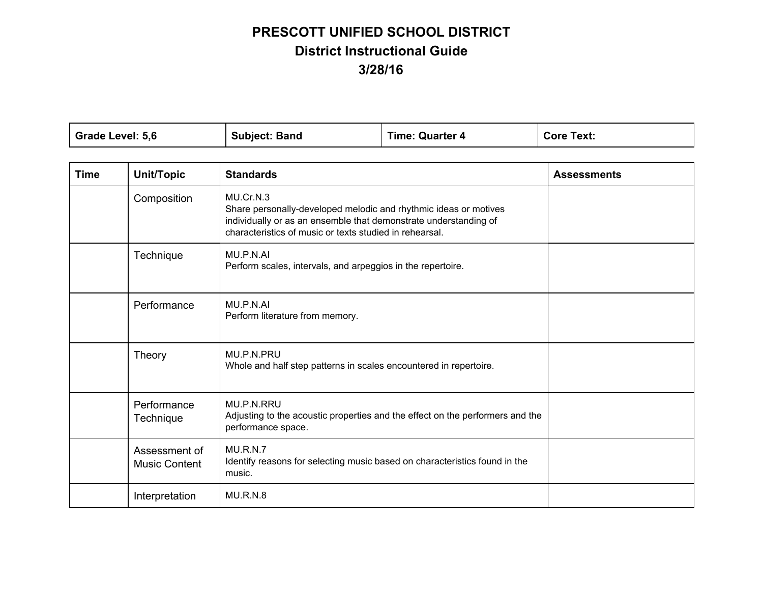| Grade Level: 5,6 | <b>Subject: Band</b> | <b>Time: Quarter 4</b> | <b>Core Text:</b> |
|------------------|----------------------|------------------------|-------------------|
|                  |                      |                        |                   |

| <b>Time</b> | Unit/Topic                            | <b>Standards</b>                                                                                                                                                                                             | <b>Assessments</b> |
|-------------|---------------------------------------|--------------------------------------------------------------------------------------------------------------------------------------------------------------------------------------------------------------|--------------------|
|             | Composition                           | MU.Cr.N.3<br>Share personally-developed melodic and rhythmic ideas or motives<br>individually or as an ensemble that demonstrate understanding of<br>characteristics of music or texts studied in rehearsal. |                    |
|             | Technique                             | MU.P.N.AI<br>Perform scales, intervals, and arpeggios in the repertoire.                                                                                                                                     |                    |
|             | Performance                           | MU.P.N.AI<br>Perform literature from memory.                                                                                                                                                                 |                    |
|             | Theory                                | MU.P.N.PRU<br>Whole and half step patterns in scales encountered in repertoire.                                                                                                                              |                    |
|             | Performance<br>Technique              | MU.P.N.RRU<br>Adjusting to the acoustic properties and the effect on the performers and the<br>performance space.                                                                                            |                    |
|             | Assessment of<br><b>Music Content</b> | MU.R.N.7<br>Identify reasons for selecting music based on characteristics found in the<br>music.                                                                                                             |                    |
|             | Interpretation                        | <b>MU.R.N.8</b>                                                                                                                                                                                              |                    |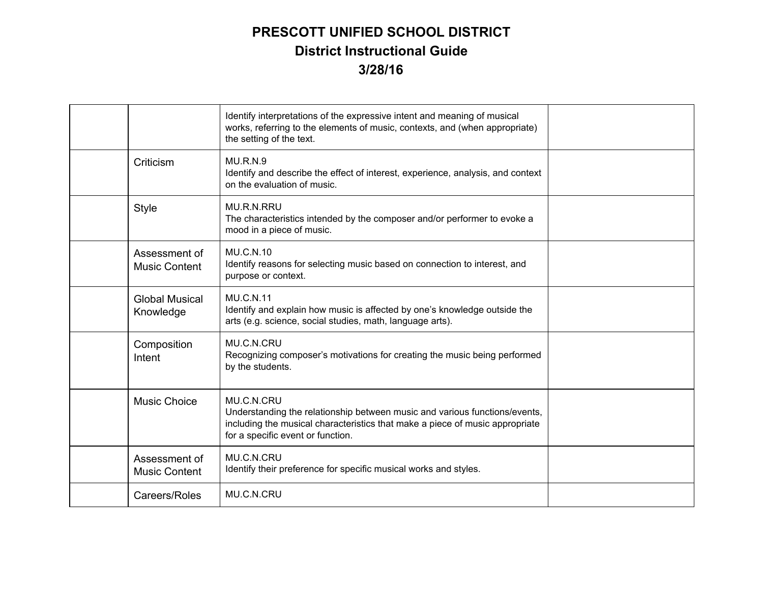|                                       | Identify interpretations of the expressive intent and meaning of musical<br>works, referring to the elements of music, contexts, and (when appropriate)<br>the setting of the text.                           |  |
|---------------------------------------|---------------------------------------------------------------------------------------------------------------------------------------------------------------------------------------------------------------|--|
| Criticism                             | MU.R.N.9<br>Identify and describe the effect of interest, experience, analysis, and context<br>on the evaluation of music.                                                                                    |  |
| <b>Style</b>                          | MU.R.N.RRU<br>The characteristics intended by the composer and/or performer to evoke a<br>mood in a piece of music.                                                                                           |  |
| Assessment of<br><b>Music Content</b> | <b>MU.C.N.10</b><br>Identify reasons for selecting music based on connection to interest, and<br>purpose or context.                                                                                          |  |
| <b>Global Musical</b><br>Knowledge    | <b>MU.C.N.11</b><br>Identify and explain how music is affected by one's knowledge outside the<br>arts (e.g. science, social studies, math, language arts).                                                    |  |
| Composition<br>Intent                 | MU.C.N.CRU<br>Recognizing composer's motivations for creating the music being performed<br>by the students.                                                                                                   |  |
| <b>Music Choice</b>                   | MU.C.N.CRU<br>Understanding the relationship between music and various functions/events,<br>including the musical characteristics that make a piece of music appropriate<br>for a specific event or function. |  |
| Assessment of<br><b>Music Content</b> | MU.C.N.CRU<br>Identify their preference for specific musical works and styles.                                                                                                                                |  |
| Careers/Roles                         | MU.C.N.CRU                                                                                                                                                                                                    |  |